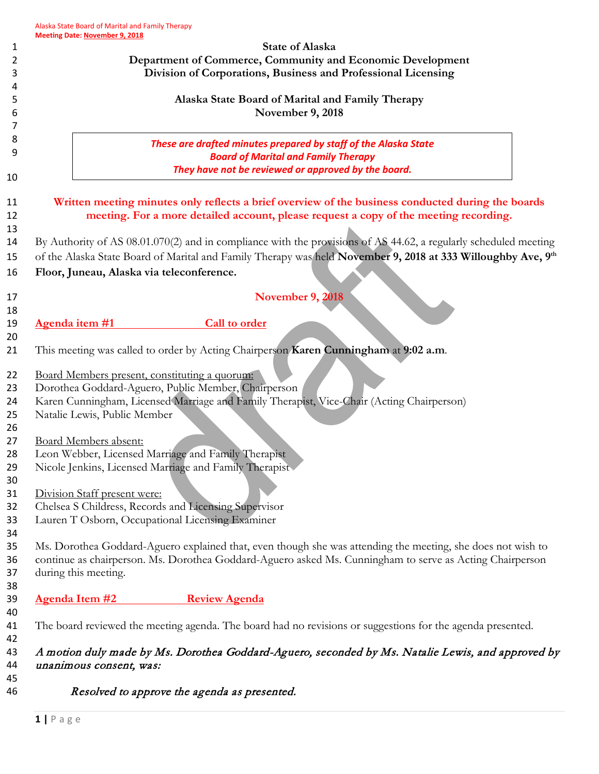|                                               | <b>State of Alaska</b>                                                                                                                                                                                                                                                                                                                                                                                                          |
|-----------------------------------------------|---------------------------------------------------------------------------------------------------------------------------------------------------------------------------------------------------------------------------------------------------------------------------------------------------------------------------------------------------------------------------------------------------------------------------------|
|                                               | Department of Commerce, Community and Economic Development                                                                                                                                                                                                                                                                                                                                                                      |
|                                               | Division of Corporations, Business and Professional Licensing                                                                                                                                                                                                                                                                                                                                                                   |
|                                               | Alaska State Board of Marital and Family Therapy                                                                                                                                                                                                                                                                                                                                                                                |
|                                               | November 9, 2018                                                                                                                                                                                                                                                                                                                                                                                                                |
|                                               |                                                                                                                                                                                                                                                                                                                                                                                                                                 |
|                                               | These are drafted minutes prepared by staff of the Alaska State                                                                                                                                                                                                                                                                                                                                                                 |
|                                               | <b>Board of Marital and Family Therapy</b>                                                                                                                                                                                                                                                                                                                                                                                      |
|                                               | They have not be reviewed or approved by the board.                                                                                                                                                                                                                                                                                                                                                                             |
| Floor, Juneau, Alaska via teleconference.     | Written meeting minutes only reflects a brief overview of the business conducted during the boards<br>meeting. For a more detailed account, please request a copy of the meeting recording.<br>By Authority of AS 08.01.070(2) and in compliance with the provisions of AS 44.62, a regularly scheduled meeting<br>of the Alaska State Board of Marital and Family Therapy was held November 9, 2018 at 333 Willoughby Ave, 9th |
|                                               | <b>November 9, 2018</b>                                                                                                                                                                                                                                                                                                                                                                                                         |
|                                               |                                                                                                                                                                                                                                                                                                                                                                                                                                 |
| Agenda item #1                                | <b>Call to order</b>                                                                                                                                                                                                                                                                                                                                                                                                            |
|                                               | This meeting was called to order by Acting Chairperson Karen Cunningham at 9:02 a.m.                                                                                                                                                                                                                                                                                                                                            |
| Board Members present, constituting a quorum: |                                                                                                                                                                                                                                                                                                                                                                                                                                 |
|                                               | Dorothea Goddard-Aguero, Public Member, Chairperson                                                                                                                                                                                                                                                                                                                                                                             |
|                                               | Karen Cunningham, Licensed Marriage and Family Therapist, Vice-Chair (Acting Chairperson)                                                                                                                                                                                                                                                                                                                                       |
| Natalie Lewis, Public Member                  |                                                                                                                                                                                                                                                                                                                                                                                                                                 |
|                                               |                                                                                                                                                                                                                                                                                                                                                                                                                                 |
| Board Members absent:                         | Leon Webber, Licensed Marriage and Family Therapist                                                                                                                                                                                                                                                                                                                                                                             |
|                                               | Nicole Jenkins, Licensed Marriage and Family Therapist                                                                                                                                                                                                                                                                                                                                                                          |
|                                               |                                                                                                                                                                                                                                                                                                                                                                                                                                 |
| Division Staff present were:                  |                                                                                                                                                                                                                                                                                                                                                                                                                                 |
|                                               | Chelsea S Childress, Records and Licensing Supervisor                                                                                                                                                                                                                                                                                                                                                                           |
|                                               | Lauren T Osborn, Occupational Licensing Examiner                                                                                                                                                                                                                                                                                                                                                                                |
|                                               | Ms. Dorothea Goddard-Aguero explained that, even though she was attending the meeting, she does not wish to                                                                                                                                                                                                                                                                                                                     |
|                                               | continue as chairperson. Ms. Dorothea Goddard-Aguero asked Ms. Cunningham to serve as Acting Chairperson                                                                                                                                                                                                                                                                                                                        |
|                                               |                                                                                                                                                                                                                                                                                                                                                                                                                                 |
| during this meeting.                          |                                                                                                                                                                                                                                                                                                                                                                                                                                 |
| <b>Agenda Item #2</b>                         | <b>Review Agenda</b>                                                                                                                                                                                                                                                                                                                                                                                                            |
|                                               | The board reviewed the meeting agenda. The board had no revisions or suggestions for the agenda presented.                                                                                                                                                                                                                                                                                                                      |
|                                               | A motion duly made by Ms. Dorothea Goddard-Aguero, seconded by Ms. Natalie Lewis, and approved by                                                                                                                                                                                                                                                                                                                               |

46 Resolved to approve the agenda as presented.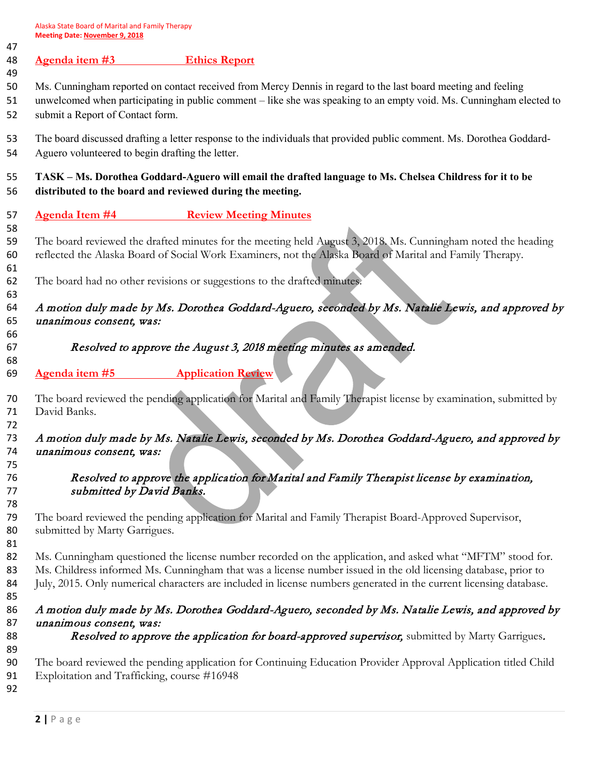Alaska State Board of Marital and Family Therapy **Meeting Date: November 9, 2018**

| 47<br>48             | Agenda item #3<br><b>Ethics Report</b>                                                                                                                                                                                                                                                                                                             |
|----------------------|----------------------------------------------------------------------------------------------------------------------------------------------------------------------------------------------------------------------------------------------------------------------------------------------------------------------------------------------------|
| 49<br>50<br>51<br>52 | Ms. Cunningham reported on contact received from Mercy Dennis in regard to the last board meeting and feeling<br>unwelcomed when participating in public comment - like she was speaking to an empty void. Ms. Cunningham elected to<br>submit a Report of Contact form.                                                                           |
| 53<br>54             | The board discussed drafting a letter response to the individuals that provided public comment. Ms. Dorothea Goddard-<br>Aguero volunteered to begin drafting the letter.                                                                                                                                                                          |
| 55<br>56             | TASK - Ms. Dorothea Goddard-Aguero will email the drafted language to Ms. Chelsea Childress for it to be<br>distributed to the board and reviewed during the meeting.                                                                                                                                                                              |
| 57                   | <b>Agenda Item #4</b> Review Meeting Minutes                                                                                                                                                                                                                                                                                                       |
| 58<br>59<br>60<br>61 | The board reviewed the drafted minutes for the meeting held August 3, 2018. Ms. Cunningham noted the heading<br>reflected the Alaska Board of Social Work Examiners, not the Alaska Board of Marital and Family Therapy.                                                                                                                           |
| 62                   | The board had no other revisions or suggestions to the drafted minutes.                                                                                                                                                                                                                                                                            |
| 63<br>64<br>65       | A motion duly made by Ms. Dorothea Goddard-Aguero, seconded by Ms. Natalie Lewis, and approved by<br>unanimous consent, was:                                                                                                                                                                                                                       |
| 66<br>67<br>68       | Resolved to approve the August 3, 2018 meeting minutes as amended.                                                                                                                                                                                                                                                                                 |
| 69                   | <b>Application Review</b><br>Agenda item #5                                                                                                                                                                                                                                                                                                        |
| 70<br>71<br>72       | The board reviewed the pending application for Marital and Family Therapist license by examination, submitted by<br>David Banks.                                                                                                                                                                                                                   |
| 73<br>74<br>75       | A motion duly made by Ms. Natalie Lewis, seconded by Ms. Dorothea Goddard-Aguero, and approved by<br>unanimous consent, was:                                                                                                                                                                                                                       |
| 76<br>77<br>78       | Resolved to approve the application for Marital and Family Therapist license by examination,<br>submitted by David Banks.                                                                                                                                                                                                                          |
| 79<br>80<br>81       | The board reviewed the pending application for Marital and Family Therapist Board-Approved Supervisor,<br>submitted by Marty Garrigues.                                                                                                                                                                                                            |
| 82<br>83<br>84<br>85 | Ms. Cunningham questioned the license number recorded on the application, and asked what "MFTM" stood for.<br>Ms. Childress informed Ms. Cunningham that was a license number issued in the old licensing database, prior to<br>July, 2015. Only numerical characters are included in license numbers generated in the current licensing database. |
| 86                   | A motion duly made by Ms. Dorothea Goddard-Aguero, seconded by Ms. Natalie Lewis, and approved by                                                                                                                                                                                                                                                  |
| 87<br>88             | unanimous consent, was:<br>Resolved to approve the application for board-approved supervisor, submitted by Marty Garrigues.                                                                                                                                                                                                                        |
| 89<br>90<br>91<br>92 | The board reviewed the pending application for Continuing Education Provider Approval Application titled Child<br>Exploitation and Trafficking, course #16948                                                                                                                                                                                      |
|                      |                                                                                                                                                                                                                                                                                                                                                    |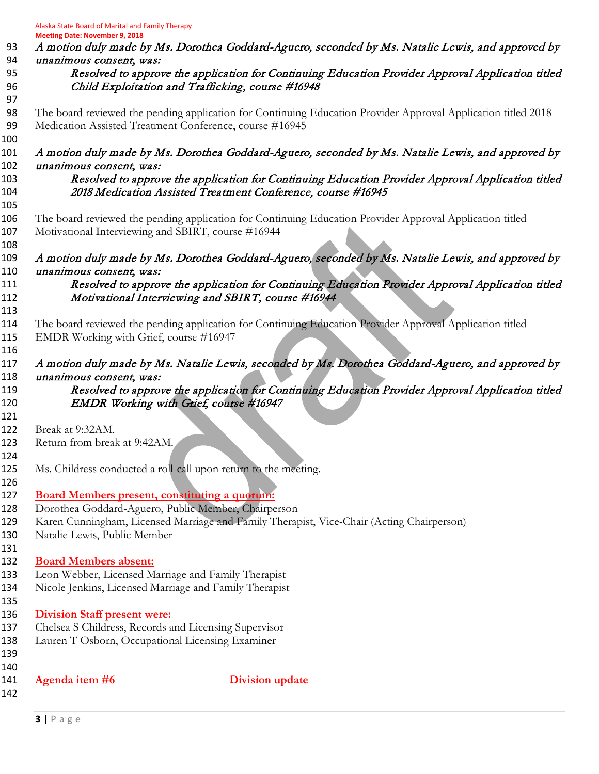Alaska State Board of Marital and Family Therapy

**Meeting Date: November 9, 2018** 93 A motion duly made by Ms. Dorothea Goddard-Aguero, seconded by Ms. Natalie Lewis, and approved by unanimous consent, was: Resolved to approve the application for Continuing Education Provider Approval Application titled Child Exploitation and Trafficking, course #16948 The board reviewed the pending application for Continuing Education Provider Approval Application titled 2018 Medication Assisted Treatment Conference, course #16945 A motion duly made by Ms. Dorothea Goddard-Aguero, seconded by Ms. Natalie Lewis, and approved by unanimous consent, was: Resolved to approve the application for Continuing Education Provider Approval Application titled 2018 Medication Assisted Treatment Conference, course #16945 The board reviewed the pending application for Continuing Education Provider Approval Application titled Motivational Interviewing and SBIRT, course #16944 A motion duly made by Ms. Dorothea Goddard-Aguero, seconded by Ms. Natalie Lewis, and approved by unanimous consent, was: Resolved to approve the application for Continuing Education Provider Approval Application titled Motivational Interviewing and SBIRT, course #16944 The board reviewed the pending application for Continuing Education Provider Approval Application titled 115 EMDR Working with Grief, course #16947 117 A motion duly made by Ms. Natalie Lewis, seconded by Ms. Dorothea Goddard-Aguero, and approved by 118 unanimous consent, was: Resolved to approve the application for Continuing Education Provider Approval Application titled 120 EMDR Working with Grief, course #16947 Break at 9:32AM. Return from break at 9:42AM. Ms. Childress conducted a roll-call upon return to the meeting. **Board Members present, constituting a quorum:**  Dorothea Goddard-Aguero, Public Member, Chairperson Karen Cunningham, Licensed Marriage and Family Therapist, Vice-Chair (Acting Chairperson) Natalie Lewis, Public Member **Board Members absent:** Leon Webber, Licensed Marriage and Family Therapist Nicole Jenkins, Licensed Marriage and Family Therapist **Division Staff present were:** Chelsea S Childress, Records and Licensing Supervisor Lauren T Osborn, Occupational Licensing Examiner **Agenda item #6 Division update**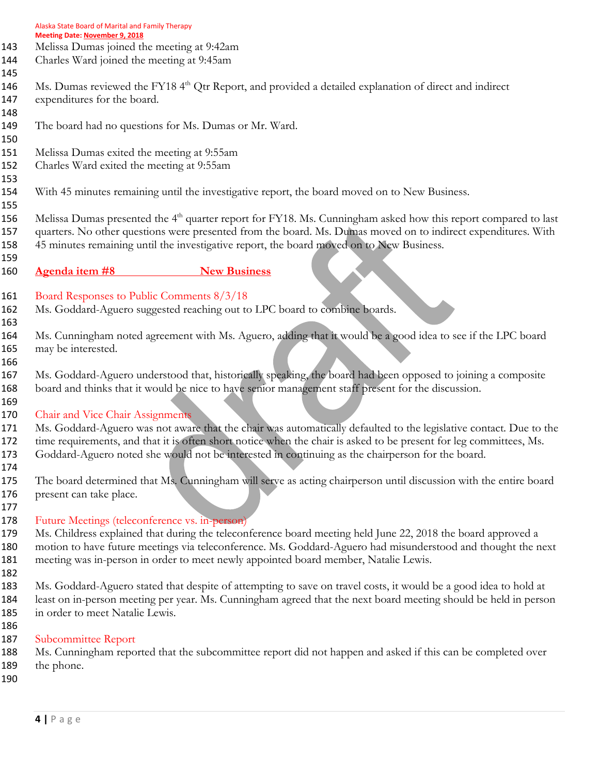| Alaska State Board of Marital and Family Therapy |
|--------------------------------------------------|
| <b>Meeting Date: November 9, 2018</b>            |

- Melissa Dumas joined the meeting at 9:42am
- Charles Ward joined the meeting at 9:45am
- 

146 Ms. Dumas reviewed the FY18 4<sup>th</sup> Qtr Report, and provided a detailed explanation of direct and indirect

- expenditures for the board.
- The board had no questions for Ms. Dumas or Mr. Ward.
- Melissa Dumas exited the meeting at 9:55am
- Charles Ward exited the meeting at 9:55am
- 

- With 45 minutes remaining until the investigative report, the board moved on to New Business.
- 

156 Melissa Dumas presented the 4<sup>th</sup> quarter report for FY18. Ms. Cunningham asked how this report compared to last quarters. No other questions were presented from the board. Ms. Dumas moved on to indirect expenditures. With 45 minutes remaining until the investigative report, the board moved on to New Business.

- -

**Agenda item #8** New Business

- Board Responses to Public Comments 8/3/18
- Ms. Goddard-Aguero suggested reaching out to LPC board to combine boards.
- 

 Ms. Cunningham noted agreement with Ms. Aguero, adding that it would be a good idea to see if the LPC board may be interested.

 Ms. Goddard-Aguero understood that, historically speaking, the board had been opposed to joining a composite board and thinks that it would be nice to have senior management staff present for the discussion.

 170 Chair and Vice Chair Assignments

 Ms. Goddard-Aguero was not aware that the chair was automatically defaulted to the legislative contact. Due to the 172 time requirements, and that it is often short notice when the chair is asked to be present for leg committees, Ms. Goddard-Aguero noted she would not be interested in continuing as the chairperson for the board.

 The board determined that Ms. Cunningham will serve as acting chairperson until discussion with the entire board present can take place.

## Future Meetings (teleconference vs. in-person)

 Ms. Childress explained that during the teleconference board meeting held June 22, 2018 the board approved a motion to have future meetings via teleconference. Ms. Goddard-Aguero had misunderstood and thought the next meeting was in-person in order to meet newly appointed board member, Natalie Lewis.

 Ms. Goddard-Aguero stated that despite of attempting to save on travel costs, it would be a good idea to hold at least on in-person meeting per year. Ms. Cunningham agreed that the next board meeting should be held in person in order to meet Natalie Lewis.

 Subcommittee Report

 Ms. Cunningham reported that the subcommittee report did not happen and asked if this can be completed over 189 the phone.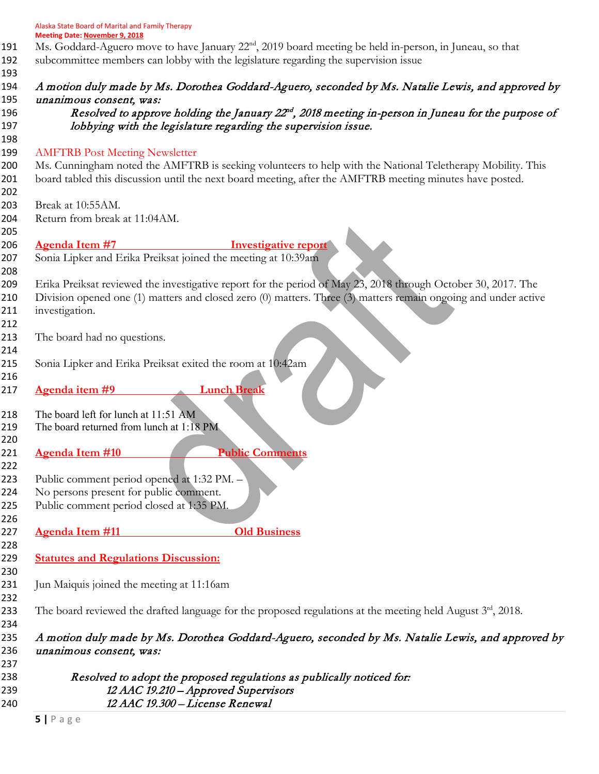|            | Alaska State Board of Marital and Family Therapy                                                                                                             |
|------------|--------------------------------------------------------------------------------------------------------------------------------------------------------------|
|            | <b>Meeting Date: November 9, 2018</b><br>Ms. Goddard-Aguero move to have January 22 <sup>nd</sup> , 2019 board meeting be held in-person, in Juneau, so that |
| 191        |                                                                                                                                                              |
| 192<br>193 | subcommittee members can lobby with the legislature regarding the supervision issue                                                                          |
| 194        | A motion duly made by Ms. Dorothea Goddard-Aguero, seconded by Ms. Natalie Lewis, and approved by                                                            |
| 195        | unanimous consent, was:                                                                                                                                      |
| 196        | Resolved to approve holding the January 22 <sup>nd</sup> , 2018 meeting in-person in Juneau for the purpose of                                               |
| 197        | lobbying with the legislature regarding the supervision issue.                                                                                               |
| 198        |                                                                                                                                                              |
| 199        | <b>AMFTRB Post Meeting Newsletter</b>                                                                                                                        |
| 200        | Ms. Cunningham noted the AMFTRB is seeking volunteers to help with the National Teletherapy Mobility. This                                                   |
| 201        | board tabled this discussion until the next board meeting, after the AMFTRB meeting minutes have posted.                                                     |
| 202        |                                                                                                                                                              |
| 203        | Break at 10:55AM.                                                                                                                                            |
| 204        | Return from break at 11:04AM.                                                                                                                                |
| 205        |                                                                                                                                                              |
| 206        | <b>Agenda Item #7</b><br><b>Investigative report</b>                                                                                                         |
|            | Sonia Lipker and Erika Preiksat joined the meeting at 10:39am                                                                                                |
| 207        |                                                                                                                                                              |
| 208        | Erika Preiksat reviewed the investigative report for the period of May 23, 2018 through October 30, 2017. The                                                |
| 209        |                                                                                                                                                              |
| 210        | Division opened one (1) matters and closed zero (0) matters. Three (3) matters remain ongoing and under active                                               |
| 211        | investigation.                                                                                                                                               |
| 212        |                                                                                                                                                              |
| 213        | The board had no questions.                                                                                                                                  |
| 214        |                                                                                                                                                              |
| 215        | Sonia Lipker and Erika Preiksat exited the room at 10:42am                                                                                                   |
| 216        |                                                                                                                                                              |
| 217        | <b>Lunch Break</b><br>Agenda item #9                                                                                                                         |
| 218        | The board left for lunch at 11:51 AM                                                                                                                         |
| 219        | The board returned from lunch at 1:18 PM                                                                                                                     |
| 220        |                                                                                                                                                              |
| 221        | <b>Public Comments</b><br><b>Agenda Item #10</b>                                                                                                             |
| 222        |                                                                                                                                                              |
| 223        | Public comment period opened at 1:32 PM. -                                                                                                                   |
| 224        | No persons present for public comment.                                                                                                                       |
| 225        | Public comment period closed at 1:35 PM.                                                                                                                     |
| 226        |                                                                                                                                                              |
| 227        | <b>Agenda Item #11</b><br><b>Old Business</b>                                                                                                                |
|            |                                                                                                                                                              |
| 228        | <b>Statutes and Regulations Discussion:</b>                                                                                                                  |
| 229        |                                                                                                                                                              |
| 230        |                                                                                                                                                              |
| 231<br>232 | Jun Maiquis joined the meeting at 11:16am                                                                                                                    |
| 233        | The board reviewed the drafted language for the proposed regulations at the meeting held August $3rd$ , 2018.                                                |
| 234        |                                                                                                                                                              |
| 235        | A motion duly made by Ms. Dorothea Goddard-Aguero, seconded by Ms. Natalie Lewis, and approved by                                                            |
| 236        | unanimous consent, was:                                                                                                                                      |
| 237        |                                                                                                                                                              |
| 238        | Resolved to adopt the proposed regulations as publically noticed for:                                                                                        |
| 239        | 12 AAC 19.210 - Approved Supervisors                                                                                                                         |
| 240        | 12 AAC 19.300 - License Renewal                                                                                                                              |
|            |                                                                                                                                                              |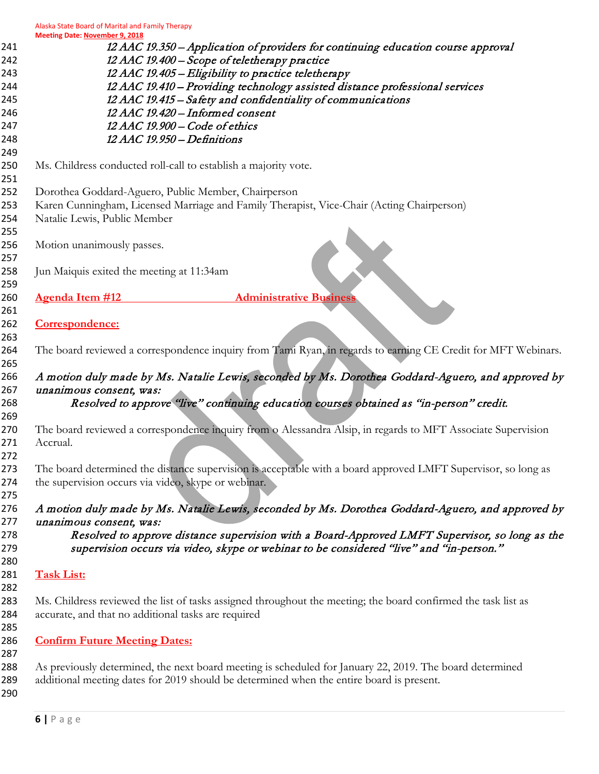Alaska State Board of Marital and Family Therapy **Meeting Date: November 9, 2018**

| 241        | 12 AAC 19.350 - Application of providers for continuing education course approval                              |
|------------|----------------------------------------------------------------------------------------------------------------|
| 242        | 12 AAC 19.400 - Scope of teletherapy practice                                                                  |
| 243        | 12 AAC 19.405 - Eligibility to practice teletherapy                                                            |
| 244        | 12 AAC 19.410 - Providing technology assisted distance professional services                                   |
| 245        | 12 AAC 19.415 - Safety and confidentiality of communications                                                   |
| 246        | 12 AAC 19.420 - Informed consent                                                                               |
| 247        | 12 AAC 19.900 - Code of ethics                                                                                 |
| 248        | 12 AAC 19.950 - Definitions                                                                                    |
| 249        |                                                                                                                |
| 250        | Ms. Childress conducted roll-call to establish a majority vote.                                                |
| 251        |                                                                                                                |
| 252        | Dorothea Goddard-Aguero, Public Member, Chairperson                                                            |
| 253        | Karen Cunningham, Licensed Marriage and Family Therapist, Vice-Chair (Acting Chairperson)                      |
| 254        | Natalie Lewis, Public Member                                                                                   |
| 255        |                                                                                                                |
| 256        | Motion unanimously passes.                                                                                     |
| 257        |                                                                                                                |
| 258        | Jun Maiquis exited the meeting at 11:34am                                                                      |
| 259        |                                                                                                                |
| 260        | <b>Agenda Item #12</b><br><b>Administrative Business</b>                                                       |
| 261        |                                                                                                                |
| 262        | Correspondence:                                                                                                |
| 263        |                                                                                                                |
| 264<br>265 | The board reviewed a correspondence inquiry from Tami Ryan, in regards to earning CE Credit for MFT Webinars.  |
| 266        | A motion duly made by Ms. Natalie Lewis, seconded by Ms. Dorothea Goddard-Aguero, and approved by              |
| 267        | unanimous consent, was:                                                                                        |
| 268<br>269 | Resolved to approve "live" continuing education courses obtained as "in-person" credit.                        |
| 270        | The board reviewed a correspondence inquiry from o Alessandra Alsip, in regards to MFT Associate Supervision   |
| 271        | Accrual.                                                                                                       |
| 272        |                                                                                                                |
| 273        | The board determined the distance supervision is acceptable with a board approved LMFT Supervisor, so long as  |
| 274        | the supervision occurs via video, skype or webinar.                                                            |
| 275        |                                                                                                                |
| 276        | A motion duly made by Ms. Natalie Lewis, seconded by Ms. Dorothea Goddard-Aguero, and approved by              |
| 277        | unanimous consent, was:                                                                                        |
| 278        | Resolved to approve distance supervision with a Board-Approved LMFT Supervisor, so long as the                 |
| 279        | supervision occurs via video, skype or webinar to be considered "live" and "in-person."                        |
| 280        |                                                                                                                |
| 281        | <b>Task List:</b>                                                                                              |
| 282        |                                                                                                                |
| 283        | Ms. Childress reviewed the list of tasks assigned throughout the meeting; the board confirmed the task list as |
| 284<br>285 | accurate, and that no additional tasks are required                                                            |
| 286        | <b>Confirm Future Meeting Dates:</b>                                                                           |
| 287        |                                                                                                                |
| 288        | As previously determined, the next board meeting is scheduled for January 22, 2019. The board determined       |
| 289        | additional meeting dates for 2019 should be determined when the entire board is present.                       |
| 290        |                                                                                                                |
|            |                                                                                                                |
|            |                                                                                                                |